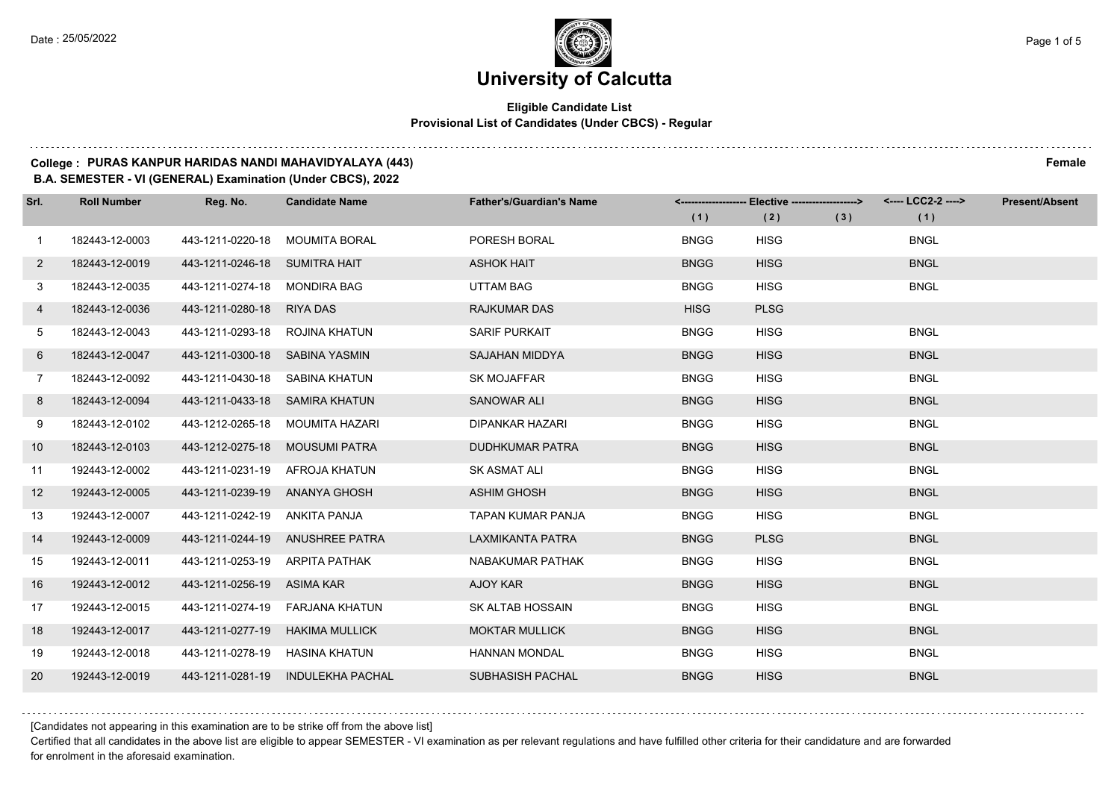### **Eligible Candidate List Provisional List of Candidates (Under CBCS) - Regular**

#### **College : PURAS KANPUR HARIDAS NANDI MAHAVIDYALAYA (443) Female**

**B.A. SEMESTER - VI (GENERAL) Examination (Under CBCS), 2022**

| Srl.        | <b>Roll Number</b> | Reg. No.                       | <b>Candidate Name</b>           | <b>Father's/Guardian's Name</b> | (1)         | <-------------------- Elective -------------------><br>(2) | (3) | (1)         | <b>Present/Absent</b> |
|-------------|--------------------|--------------------------------|---------------------------------|---------------------------------|-------------|------------------------------------------------------------|-----|-------------|-----------------------|
| $\mathbf 1$ | 182443-12-0003     | 443-1211-0220-18               | <b>MOUMITA BORAL</b>            | PORESH BORAL                    | <b>BNGG</b> | <b>HISG</b>                                                |     | <b>BNGL</b> |                       |
| $2^{\circ}$ | 182443-12-0019     | 443-1211-0246-18 SUMITRA HAIT  |                                 | <b>ASHOK HAIT</b>               | <b>BNGG</b> | <b>HISG</b>                                                |     | <b>BNGL</b> |                       |
| 3           | 182443-12-0035     | 443-1211-0274-18 MONDIRA BAG   |                                 | <b>UTTAM BAG</b>                | <b>BNGG</b> | <b>HISG</b>                                                |     | <b>BNGL</b> |                       |
| 4           | 182443-12-0036     | 443-1211-0280-18 RIYA DAS      |                                 | <b>RAJKUMAR DAS</b>             | <b>HISG</b> | <b>PLSG</b>                                                |     |             |                       |
| 5           | 182443-12-0043     | 443-1211-0293-18 ROJINA KHATUN |                                 | SARIF PURKAIT                   | <b>BNGG</b> | <b>HISG</b>                                                |     | <b>BNGL</b> |                       |
| 6           | 182443-12-0047     | 443-1211-0300-18 SABINA YASMIN |                                 | <b>SAJAHAN MIDDYA</b>           | <b>BNGG</b> | <b>HISG</b>                                                |     | <b>BNGL</b> |                       |
| $7^{\circ}$ | 182443-12-0092     | 443-1211-0430-18 SABINA KHATUN |                                 | <b>SK MOJAFFAR</b>              | <b>BNGG</b> | <b>HISG</b>                                                |     | <b>BNGL</b> |                       |
| 8           | 182443-12-0094     | 443-1211-0433-18 SAMIRA KHATUN |                                 | SANOWAR ALI                     | <b>BNGG</b> | <b>HISG</b>                                                |     | <b>BNGL</b> |                       |
| 9           | 182443-12-0102     | 443-1212-0265-18               | MOUMITA HAZARI                  | <b>DIPANKAR HAZARI</b>          | <b>BNGG</b> | <b>HISG</b>                                                |     | <b>BNGL</b> |                       |
| 10          | 182443-12-0103     | 443-1212-0275-18 MOUSUMI PATRA |                                 | <b>DUDHKUMAR PATRA</b>          | <b>BNGG</b> | <b>HISG</b>                                                |     | <b>BNGL</b> |                       |
| 11          | 192443-12-0002     | 443-1211-0231-19 AFROJA KHATUN |                                 | <b>SK ASMAT ALI</b>             | <b>BNGG</b> | <b>HISG</b>                                                |     | <b>BNGL</b> |                       |
| 12          | 192443-12-0005     | 443-1211-0239-19 ANANYA GHOSH  |                                 | <b>ASHIM GHOSH</b>              | <b>BNGG</b> | <b>HISG</b>                                                |     | <b>BNGL</b> |                       |
| 13          | 192443-12-0007     | 443-1211-0242-19 ANKITA PANJA  |                                 | <b>TAPAN KUMAR PANJA</b>        | <b>BNGG</b> | <b>HISG</b>                                                |     | <b>BNGL</b> |                       |
| 14          | 192443-12-0009     |                                | 443-1211-0244-19 ANUSHREE PATRA | LAXMIKANTA PATRA                | <b>BNGG</b> | <b>PLSG</b>                                                |     | <b>BNGL</b> |                       |
| 15          | 192443-12-0011     | 443-1211-0253-19 ARPITA PATHAK |                                 | NABAKUMAR PATHAK                | <b>BNGG</b> | <b>HISG</b>                                                |     | <b>BNGL</b> |                       |
| 16          | 192443-12-0012     | 443-1211-0256-19 ASIMA KAR     |                                 | AJOY KAR                        | <b>BNGG</b> | <b>HISG</b>                                                |     | <b>BNGL</b> |                       |
| 17          | 192443-12-0015     | 443-1211-0274-19               | FARJANA KHATUN                  | SK ALTAB HOSSAIN                | <b>BNGG</b> | <b>HISG</b>                                                |     | <b>BNGL</b> |                       |
| 18          | 192443-12-0017     | 443-1211-0277-19               | HAKIMA MULLICK                  | <b>MOKTAR MULLICK</b>           | <b>BNGG</b> | <b>HISG</b>                                                |     | <b>BNGL</b> |                       |
| 19          | 192443-12-0018     | 443-1211-0278-19 HASINA KHATUN |                                 | <b>HANNAN MONDAL</b>            | <b>BNGG</b> | <b>HISG</b>                                                |     | <b>BNGL</b> |                       |
| 20          | 192443-12-0019     | 443-1211-0281-19               | <b>INDULEKHA PACHAL</b>         | SUBHASISH PACHAL                | <b>BNGG</b> | <b>HISG</b>                                                |     | <b>BNGL</b> |                       |

[Candidates not appearing in this examination are to be strike off from the above list]

Certified that all candidates in the above list are eligible to appear SEMESTER - VI examination as per relevant regulations and have fulfilled other criteria for their candidature and are forwarded for enrolment in the aforesaid examination.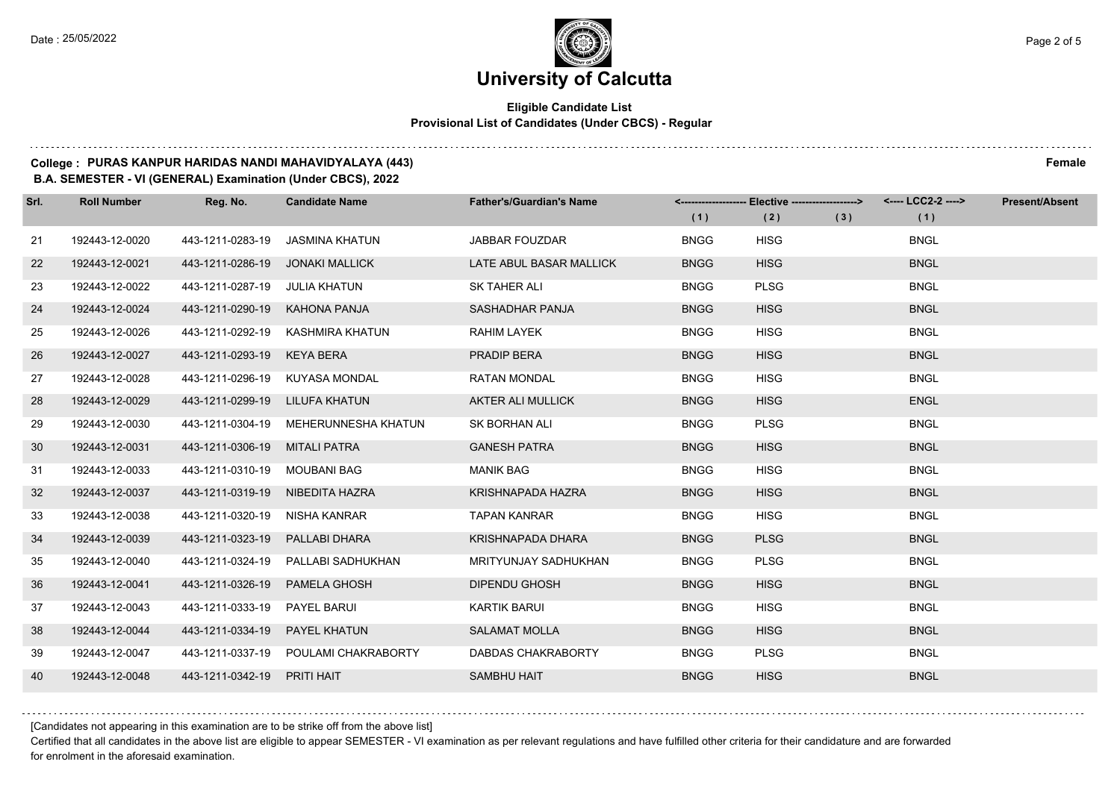### **Eligible Candidate List Provisional List of Candidates (Under CBCS) - Regular**

#### **College : PURAS KANPUR HARIDAS NANDI MAHAVIDYALAYA (443) Female**

**B.A. SEMESTER - VI (GENERAL) Examination (Under CBCS), 2022**

| Srl. | <b>Roll Number</b> | Reg. No.                     | <b>Candidate Name</b>                | <b>Father's/Guardian's Name</b> | (1)         | <------------------- Elective ------------------><br>(2) | (3) | <---- LCC2-2 ----><br>(1) | <b>Present/Absent</b> |
|------|--------------------|------------------------------|--------------------------------------|---------------------------------|-------------|----------------------------------------------------------|-----|---------------------------|-----------------------|
| 21   | 192443-12-0020     | 443-1211-0283-19             | <b>JASMINA KHATUN</b>                | <b>JABBAR FOUZDAR</b>           | <b>BNGG</b> | <b>HISG</b>                                              |     | <b>BNGL</b>               |                       |
| 22   | 192443-12-0021     | 443-1211-0286-19             | <b>JONAKI MALLICK</b>                | LATE ABUL BASAR MALLICK         | <b>BNGG</b> | <b>HISG</b>                                              |     | <b>BNGL</b>               |                       |
| 23   | 192443-12-0022     | 443-1211-0287-19             | JULIA KHATUN                         | SK TAHER ALI                    | <b>BNGG</b> | <b>PLSG</b>                                              |     | <b>BNGL</b>               |                       |
| 24   | 192443-12-0024     | 443-1211-0290-19             | KAHONA PANJA                         | SASHADHAR PANJA                 | <b>BNGG</b> | <b>HISG</b>                                              |     | <b>BNGL</b>               |                       |
| 25   | 192443-12-0026     | 443-1211-0292-19             | KASHMIRA KHATUN                      | RAHIM LAYEK                     | <b>BNGG</b> | <b>HISG</b>                                              |     | <b>BNGL</b>               |                       |
| 26   | 192443-12-0027     | 443-1211-0293-19             | <b>KEYA BERA</b>                     | <b>PRADIP BERA</b>              | <b>BNGG</b> | <b>HISG</b>                                              |     | <b>BNGL</b>               |                       |
| 27   | 192443-12-0028     |                              | 443-1211-0296-19 KUYASA MONDAL       | <b>RATAN MONDAL</b>             | <b>BNGG</b> | <b>HISG</b>                                              |     | <b>BNGL</b>               |                       |
| 28   | 192443-12-0029     | 443-1211-0299-19             | LILUFA KHATUN                        | <b>AKTER ALI MULLICK</b>        | <b>BNGG</b> | <b>HISG</b>                                              |     | <b>ENGL</b>               |                       |
| 29   | 192443-12-0030     | 443-1211-0304-19             | MEHERUNNESHA KHATUN                  | <b>SK BORHAN ALI</b>            | <b>BNGG</b> | <b>PLSG</b>                                              |     | <b>BNGL</b>               |                       |
| 30   | 192443-12-0031     | 443-1211-0306-19             | <b>MITALI PATRA</b>                  | <b>GANESH PATRA</b>             | <b>BNGG</b> | <b>HISG</b>                                              |     | <b>BNGL</b>               |                       |
| 31   | 192443-12-0033     | 443-1211-0310-19 MOUBANI BAG |                                      | <b>MANIK BAG</b>                | <b>BNGG</b> | <b>HISG</b>                                              |     | <b>BNGL</b>               |                       |
| 32   | 192443-12-0037     | 443-1211-0319-19             | NIBEDITA HAZRA                       | KRISHNAPADA HAZRA               | <b>BNGG</b> | <b>HISG</b>                                              |     | <b>BNGL</b>               |                       |
| 33   | 192443-12-0038     | 443-1211-0320-19             | NISHA KANRAR                         | <b>TAPAN KANRAR</b>             | <b>BNGG</b> | <b>HISG</b>                                              |     | <b>BNGL</b>               |                       |
| 34   | 192443-12-0039     | 443-1211-0323-19             | PALLABI DHARA                        | <b>KRISHNAPADA DHARA</b>        | <b>BNGG</b> | <b>PLSG</b>                                              |     | <b>BNGL</b>               |                       |
| 35   | 192443-12-0040     | 443-1211-0324-19             | PALLABI SADHUKHAN                    | <b>MRITYUNJAY SADHUKHAN</b>     | <b>BNGG</b> | <b>PLSG</b>                                              |     | <b>BNGL</b>               |                       |
| 36   | 192443-12-0041     | 443-1211-0326-19             | PAMELA GHOSH                         | <b>DIPENDU GHOSH</b>            | <b>BNGG</b> | <b>HISG</b>                                              |     | <b>BNGL</b>               |                       |
| 37   | 192443-12-0043     | 443-1211-0333-19             | PAYEL BARUI                          | <b>KARTIK BARUI</b>             | <b>BNGG</b> | <b>HISG</b>                                              |     | <b>BNGL</b>               |                       |
| 38   | 192443-12-0044     | 443-1211-0334-19             | <b>PAYEL KHATUN</b>                  | <b>SALAMAT MOLLA</b>            | <b>BNGG</b> | <b>HISG</b>                                              |     | <b>BNGL</b>               |                       |
| 39   | 192443-12-0047     |                              | 443-1211-0337-19 POULAMI CHAKRABORTY | <b>DABDAS CHAKRABORTY</b>       | <b>BNGG</b> | <b>PLSG</b>                                              |     | <b>BNGL</b>               |                       |
| 40   | 192443-12-0048     | 443-1211-0342-19             | PRITI HAIT                           | <b>SAMBHU HAIT</b>              | <b>BNGG</b> | <b>HISG</b>                                              |     | <b>BNGL</b>               |                       |

[Candidates not appearing in this examination are to be strike off from the above list]

Certified that all candidates in the above list are eligible to appear SEMESTER - VI examination as per relevant regulations and have fulfilled other criteria for their candidature and are forwarded for enrolment in the aforesaid examination.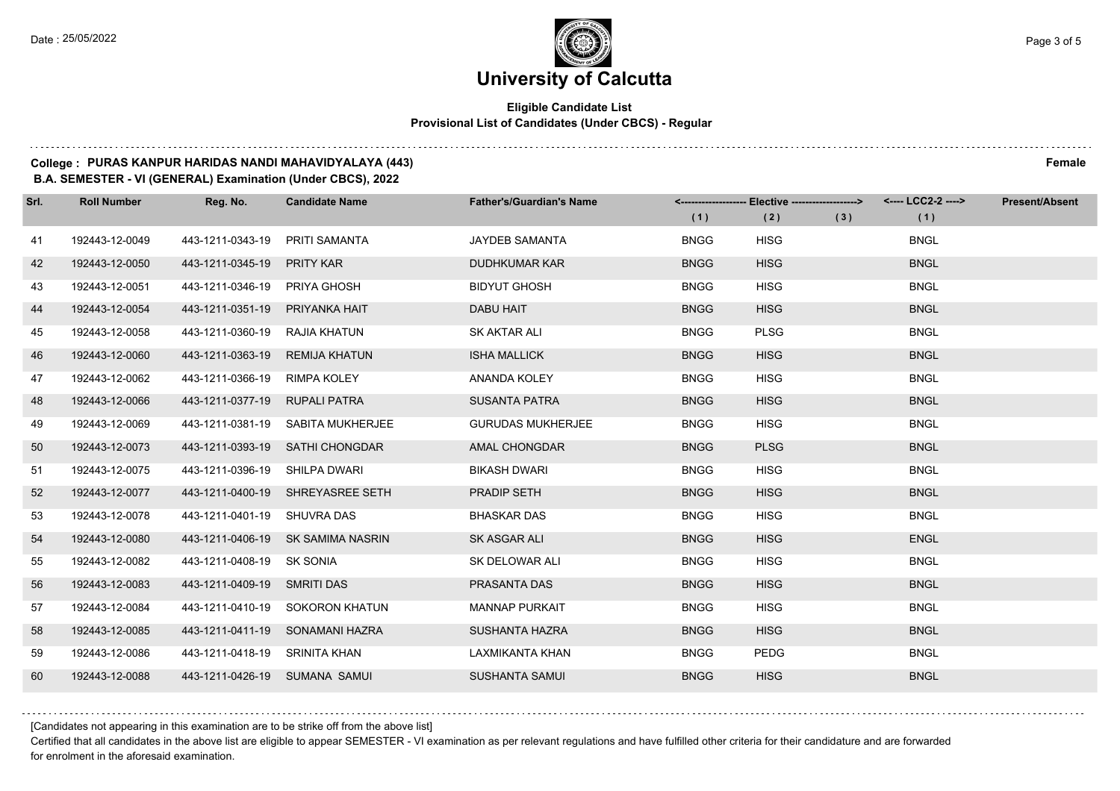### **Eligible Candidate List Provisional List of Candidates (Under CBCS) - Regular**

### **College : PURAS KANPUR HARIDAS NANDI MAHAVIDYALAYA (443) Female**

**B.A. SEMESTER - VI (GENERAL) Examination (Under CBCS), 2022**

| Srl. | <b>Roll Number</b> | Reg. No.                      | <b>Candidate Name</b>             | <b>Father's/Guardian's Name</b> | (1)         | <------------------- Elective ------------------><br>(2) | (3) | <---- LCC2-2 ----><br>(1) | <b>Present/Absent</b> |
|------|--------------------|-------------------------------|-----------------------------------|---------------------------------|-------------|----------------------------------------------------------|-----|---------------------------|-----------------------|
|      |                    |                               |                                   |                                 |             |                                                          |     |                           |                       |
| 41   | 192443-12-0049     | 443-1211-0343-19              | PRITI SAMANTA                     | <b>JAYDEB SAMANTA</b>           | <b>BNGG</b> | <b>HISG</b>                                              |     | <b>BNGL</b>               |                       |
| 42   | 192443-12-0050     | 443-1211-0345-19              | <b>PRITY KAR</b>                  | <b>DUDHKUMAR KAR</b>            | <b>BNGG</b> | <b>HISG</b>                                              |     | <b>BNGL</b>               |                       |
| 43   | 192443-12-0051     | 443-1211-0346-19              | PRIYA GHOSH                       | <b>BIDYUT GHOSH</b>             | <b>BNGG</b> | <b>HISG</b>                                              |     | <b>BNGL</b>               |                       |
| 44   | 192443-12-0054     | 443-1211-0351-19              | PRIYANKA HAIT                     | <b>DABU HAIT</b>                | <b>BNGG</b> | <b>HISG</b>                                              |     | <b>BNGL</b>               |                       |
| 45   | 192443-12-0058     | 443-1211-0360-19              | RAJIA KHATUN                      | SK AKTAR ALI                    | <b>BNGG</b> | <b>PLSG</b>                                              |     | <b>BNGL</b>               |                       |
| 46   | 192443-12-0060     | 443-1211-0363-19              | <b>REMIJA KHATUN</b>              | <b>ISHA MALLICK</b>             | <b>BNGG</b> | <b>HISG</b>                                              |     | <b>BNGL</b>               |                       |
| 47   | 192443-12-0062     | 443-1211-0366-19              | <b>RIMPA KOLEY</b>                | ANANDA KOLEY                    | <b>BNGG</b> | <b>HISG</b>                                              |     | <b>BNGL</b>               |                       |
| 48   | 192443-12-0066     | 443-1211-0377-19              | <b>RUPALI PATRA</b>               | <b>SUSANTA PATRA</b>            | <b>BNGG</b> | <b>HISG</b>                                              |     | <b>BNGL</b>               |                       |
| 49   | 192443-12-0069     | 443-1211-0381-19              | SABITA MUKHERJEE                  | <b>GURUDAS MUKHERJEE</b>        | <b>BNGG</b> | <b>HISG</b>                                              |     | <b>BNGL</b>               |                       |
| 50   | 192443-12-0073     |                               | 443-1211-0393-19 SATHI CHONGDAR   | AMAL CHONGDAR                   | <b>BNGG</b> | <b>PLSG</b>                                              |     | <b>BNGL</b>               |                       |
| 51   | 192443-12-0075     | 443-1211-0396-19 SHILPA DWARI |                                   | <b>BIKASH DWARI</b>             | <b>BNGG</b> | <b>HISG</b>                                              |     | <b>BNGL</b>               |                       |
| 52   | 192443-12-0077     |                               | 443-1211-0400-19 SHREYASREE SETH  | PRADIP SETH                     | <b>BNGG</b> | <b>HISG</b>                                              |     | <b>BNGL</b>               |                       |
| 53   | 192443-12-0078     | 443-1211-0401-19              | SHUVRA DAS                        | <b>BHASKAR DAS</b>              | <b>BNGG</b> | <b>HISG</b>                                              |     | <b>BNGL</b>               |                       |
| 54   | 192443-12-0080     |                               | 443-1211-0406-19 SK SAMIMA NASRIN | SK ASGAR ALI                    | <b>BNGG</b> | <b>HISG</b>                                              |     | <b>ENGL</b>               |                       |
| 55   | 192443-12-0082     | 443-1211-0408-19 SK SONIA     |                                   | SK DELOWAR ALI                  | <b>BNGG</b> | <b>HISG</b>                                              |     | <b>BNGL</b>               |                       |
| 56   | 192443-12-0083     | 443-1211-0409-19 SMRITI DAS   |                                   | PRASANTA DAS                    | <b>BNGG</b> | <b>HISG</b>                                              |     | <b>BNGL</b>               |                       |
| 57   | 192443-12-0084     | 443-1211-0410-19              | <b>SOKORON KHATUN</b>             | <b>MANNAP PURKAIT</b>           | <b>BNGG</b> | <b>HISG</b>                                              |     | <b>BNGL</b>               |                       |
| 58   | 192443-12-0085     |                               | 443-1211-0411-19 SONAMANI HAZRA   | <b>SUSHANTA HAZRA</b>           | <b>BNGG</b> | <b>HISG</b>                                              |     | <b>BNGL</b>               |                       |
| 59   | 192443-12-0086     | 443-1211-0418-19 SRINITA KHAN |                                   | LAXMIKANTA KHAN                 | <b>BNGG</b> | <b>PEDG</b>                                              |     | <b>BNGL</b>               |                       |
| 60   | 192443-12-0088     | 443-1211-0426-19 SUMANA SAMUI |                                   | <b>SUSHANTA SAMUI</b>           | <b>BNGG</b> | <b>HISG</b>                                              |     | <b>BNGL</b>               |                       |

[Candidates not appearing in this examination are to be strike off from the above list]

Certified that all candidates in the above list are eligible to appear SEMESTER - VI examination as per relevant regulations and have fulfilled other criteria for their candidature and are forwarded for enrolment in the aforesaid examination.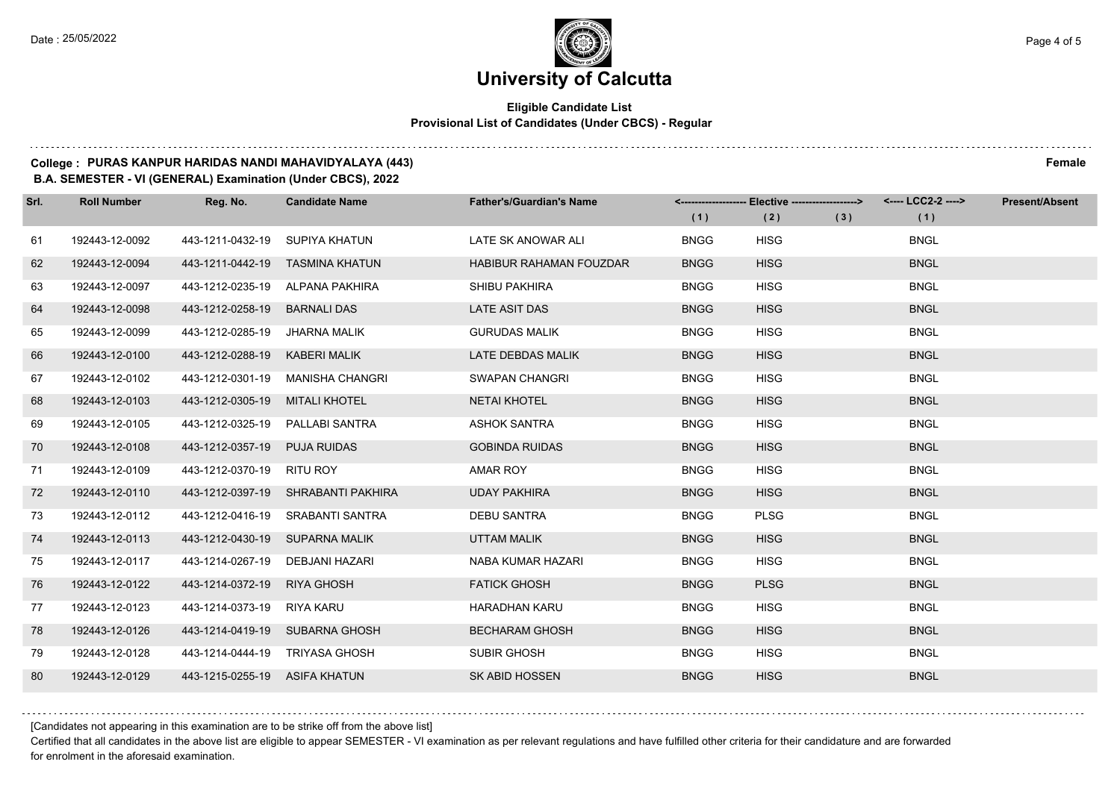### **Eligible Candidate List Provisional List of Candidates (Under CBCS) - Regular**

### **College : PURAS KANPUR HARIDAS NANDI MAHAVIDYALAYA (443) Female**

#### **B.A. SEMESTER - VI (GENERAL) Examination (Under CBCS), 2022**

| Srl. | <b>Roll Number</b> | Reg. No.                      | <b>Candidate Name</b>              | <b>Father's/Guardian's Name</b> | (1)         | <------------------- Elective ------------------><br>(2) | (3) | <---- LCC2-2 ----><br>(1) | <b>Present/Absent</b> |
|------|--------------------|-------------------------------|------------------------------------|---------------------------------|-------------|----------------------------------------------------------|-----|---------------------------|-----------------------|
| 61   | 192443-12-0092     | 443-1211-0432-19              | SUPIYA KHATUN                      | LATE SK ANOWAR ALI              | <b>BNGG</b> | <b>HISG</b>                                              |     | <b>BNGL</b>               |                       |
| 62   | 192443-12-0094     | 443-1211-0442-19              | TASMINA KHATUN                     | <b>HABIBUR RAHAMAN FOUZDAR</b>  | <b>BNGG</b> | <b>HISG</b>                                              |     | <b>BNGL</b>               |                       |
| 63   | 192443-12-0097     |                               | 443-1212-0235-19 ALPANA PAKHIRA    | SHIBU PAKHIRA                   | <b>BNGG</b> | <b>HISG</b>                                              |     | <b>BNGL</b>               |                       |
| 64   | 192443-12-0098     | 443-1212-0258-19              | <b>BARNALI DAS</b>                 | <b>LATE ASIT DAS</b>            | <b>BNGG</b> | <b>HISG</b>                                              |     | <b>BNGL</b>               |                       |
| 65   | 192443-12-0099     | 443-1212-0285-19              | JHARNA MALIK                       | <b>GURUDAS MALIK</b>            | <b>BNGG</b> | <b>HISG</b>                                              |     | <b>BNGL</b>               |                       |
| 66   | 192443-12-0100     | 443-1212-0288-19              | <b>KABERI MALIK</b>                | LATE DEBDAS MALIK               | <b>BNGG</b> | <b>HISG</b>                                              |     | <b>BNGL</b>               |                       |
| 67   | 192443-12-0102     | 443-1212-0301-19              | MANISHA CHANGRI                    | SWAPAN CHANGRI                  | <b>BNGG</b> | <b>HISG</b>                                              |     | <b>BNGL</b>               |                       |
| 68   | 192443-12-0103     | 443-1212-0305-19              | MITALI KHOTEL                      | <b>NETAI KHOTEL</b>             | <b>BNGG</b> | <b>HISG</b>                                              |     | <b>BNGL</b>               |                       |
| 69   | 192443-12-0105     | 443-1212-0325-19              | PALLABI SANTRA                     | <b>ASHOK SANTRA</b>             | <b>BNGG</b> | <b>HISG</b>                                              |     | <b>BNGL</b>               |                       |
| 70   | 192443-12-0108     | 443-1212-0357-19              | <b>PUJA RUIDAS</b>                 | <b>GOBINDA RUIDAS</b>           | <b>BNGG</b> | <b>HISG</b>                                              |     | <b>BNGL</b>               |                       |
| 71   | 192443-12-0109     | 443-1212-0370-19              | RITU ROY                           | AMAR ROY                        | <b>BNGG</b> | <b>HISG</b>                                              |     | <b>BNGL</b>               |                       |
| 72   | 192443-12-0110     |                               | 443-1212-0397-19 SHRABANTI PAKHIRA | <b>UDAY PAKHIRA</b>             | <b>BNGG</b> | <b>HISG</b>                                              |     | <b>BNGL</b>               |                       |
| 73   | 192443-12-0112     | 443-1212-0416-19              | SRABANTI SANTRA                    | <b>DEBU SANTRA</b>              | <b>BNGG</b> | <b>PLSG</b>                                              |     | <b>BNGL</b>               |                       |
| 74   | 192443-12-0113     | 443-1212-0430-19              | <b>SUPARNA MALIK</b>               | <b>UTTAM MALIK</b>              | <b>BNGG</b> | <b>HISG</b>                                              |     | <b>BNGL</b>               |                       |
| 75   | 192443-12-0117     | 443-1214-0267-19              | DEBJANI HAZARI                     | NABA KUMAR HAZARI               | <b>BNGG</b> | <b>HISG</b>                                              |     | <b>BNGL</b>               |                       |
| 76   | 192443-12-0122     | 443-1214-0372-19              | RIYA GHOSH                         | <b>FATICK GHOSH</b>             | <b>BNGG</b> | <b>PLSG</b>                                              |     | <b>BNGL</b>               |                       |
| 77   | 192443-12-0123     | 443-1214-0373-19              | RIYA KARU                          | <b>HARADHAN KARU</b>            | <b>BNGG</b> | <b>HISG</b>                                              |     | <b>BNGL</b>               |                       |
| 78   | 192443-12-0126     | 443-1214-0419-19              | SUBARNA GHOSH                      | <b>BECHARAM GHOSH</b>           | <b>BNGG</b> | <b>HISG</b>                                              |     | <b>BNGL</b>               |                       |
| 79   | 192443-12-0128     | 443-1214-0444-19              | TRIYASA GHOSH                      | SUBIR GHOSH                     | <b>BNGG</b> | <b>HISG</b>                                              |     | <b>BNGL</b>               |                       |
| 80   | 192443-12-0129     | 443-1215-0255-19 ASIFA KHATUN |                                    | <b>SK ABID HOSSEN</b>           | <b>BNGG</b> | <b>HISG</b>                                              |     | <b>BNGL</b>               |                       |

[Candidates not appearing in this examination are to be strike off from the above list]

Certified that all candidates in the above list are eligible to appear SEMESTER - VI examination as per relevant regulations and have fulfilled other criteria for their candidature and are forwarded for enrolment in the aforesaid examination.